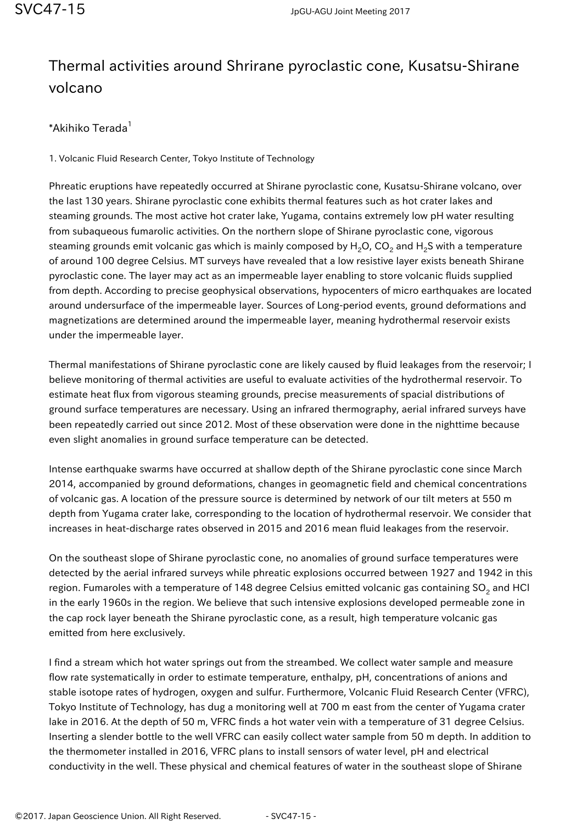## Thermal activities around Shrirane pyroclastic cone, Kusatsu-Shirane volcano

\*Akihiko Terada<sup>1</sup>

1. Volcanic Fluid Research Center, Tokyo Institute of Technology

Phreatic eruptions have repeatedly occurred at Shirane pyroclastic cone, Kusatsu-Shirane volcano, over the last 130 years. Shirane pyroclastic cone exhibits thermal features such as hot crater lakes and steaming grounds. The most active hot crater lake, Yugama, contains extremely low pH water resulting from subaqueous fumarolic activities. On the northern slope of Shirane pyroclastic cone, vigorous steaming grounds emit volcanic gas which is mainly composed by H<sub>2</sub>O, CO<sub>2</sub> and H<sub>2</sub>S with a temperature of around 100 degree Celsius. MT surveys have revealed that a low resistive layer exists beneath Shirane pyroclastic cone. The layer may act as an impermeable layer enabling to store volcanic fluids supplied from depth. According to precise geophysical observations, hypocenters of micro earthquakes are located around undersurface of the impermeable layer. Sources of Long-period events, ground deformations and magnetizations are determined around the impermeable layer, meaning hydrothermal reservoir exists under the impermeable layer.

Thermal manifestations of Shirane pyroclastic cone are likely caused by fluid leakages from the reservoir; I believe monitoring of thermal activities are useful to evaluate activities of the hydrothermal reservoir. To estimate heat flux from vigorous steaming grounds, precise measurements of spacial distributions of ground surface temperatures are necessary. Using an infrared thermography, aerial infrared surveys have been repeatedly carried out since 2012. Most of these observation were done in the nighttime because even slight anomalies in ground surface temperature can be detected.

Intense earthquake swarms have occurred at shallow depth of the Shirane pyroclastic cone since March 2014, accompanied by ground deformations, changes in geomagnetic field and chemical concentrations of volcanic gas. A location of the pressure source is determined by network of our tilt meters at 550 m depth from Yugama crater lake, corresponding to the location of hydrothermal reservoir. We consider that increases in heat-discharge rates observed in 2015 and 2016 mean fluid leakages from the reservoir.

On the southeast slope of Shirane pyroclastic cone, no anomalies of ground surface temperatures were detected by the aerial infrared surveys while phreatic explosions occurred between 1927 and 1942 in this region. Fumaroles with a temperature of 148 degree Celsius emitted volcanic gas containing SO<sub>2</sub> and HCl in the early 1960s in the region. We believe that such intensive explosions developed permeable zone in the cap rock layer beneath the Shirane pyroclastic cone, as a result, high temperature volcanic gas emitted from here exclusively.

I find a stream which hot water springs out from the streambed. We collect water sample and measure flow rate systematically in order to estimate temperature, enthalpy, pH, concentrations of anions and stable isotope rates of hydrogen, oxygen and sulfur. Furthermore, Volcanic Fluid Research Center (VFRC), Tokyo Institute of Technology, has dug a monitoring well at 700 m east from the center of Yugama crater lake in 2016. At the depth of 50 m, VFRC finds a hot water vein with a temperature of 31 degree Celsius. Inserting a slender bottle to the well VFRC can easily collect water sample from 50 m depth. In addition to the thermometer installed in 2016, VFRC plans to install sensors of water level, pH and electrical conductivity in the well. These physical and chemical features of water in the southeast slope of Shirane